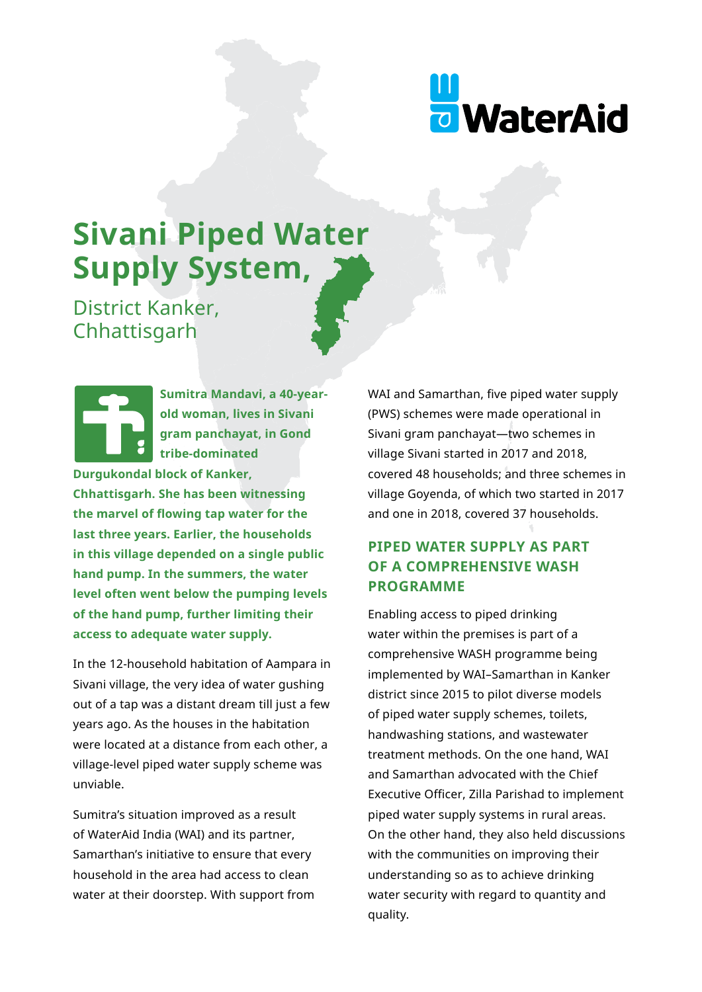

# **Sivani Piped Water Supply System,**

District Kanker, Chhattisgarh

> **Sumitra Mandavi, a 40-yearold woman, lives in Sivani gram panchayat, in Gond tribe-dominated**

**Durgukondal block of Kanker,** 

**Chhattisgarh. She has been witnessing the marvel of flowing tap water for the last three years. Earlier, the households in this village depended on a single public hand pump. In the summers, the water level often went below the pumping levels of the hand pump, further limiting their access to adequate water supply.**

In the 12-household habitation of Aampara in Sivani village, the very idea of water gushing out of a tap was a distant dream till just a few years ago. As the houses in the habitation were located at a distance from each other, a village-level piped water supply scheme was unviable.

Sumitra's situation improved as a result of WaterAid India (WAI) and its partner, Samarthan's initiative to ensure that every household in the area had access to clean water at their doorstep. With support from WAI and Samarthan, five piped water supply (PWS) schemes were made operational in Sivani gram panchayat—two schemes in village Sivani started in 2017 and 2018, covered 48 households; and three schemes in village Goyenda, of which two started in 2017 and one in 2018, covered 37 households.

## **PIPED WATER SUPPLY AS PART OF A COMPREHENSIVE WASH PROGRAMME**

Enabling access to piped drinking water within the premises is part of a comprehensive WASH programme being implemented by WAI–Samarthan in Kanker district since 2015 to pilot diverse models of piped water supply schemes, toilets, handwashing stations, and wastewater treatment methods. On the one hand, WAI and Samarthan advocated with the Chief Executive Officer, Zilla Parishad to implement piped water supply systems in rural areas. On the other hand, they also held discussions with the communities on improving their understanding so as to achieve drinking water security with regard to quantity and quality.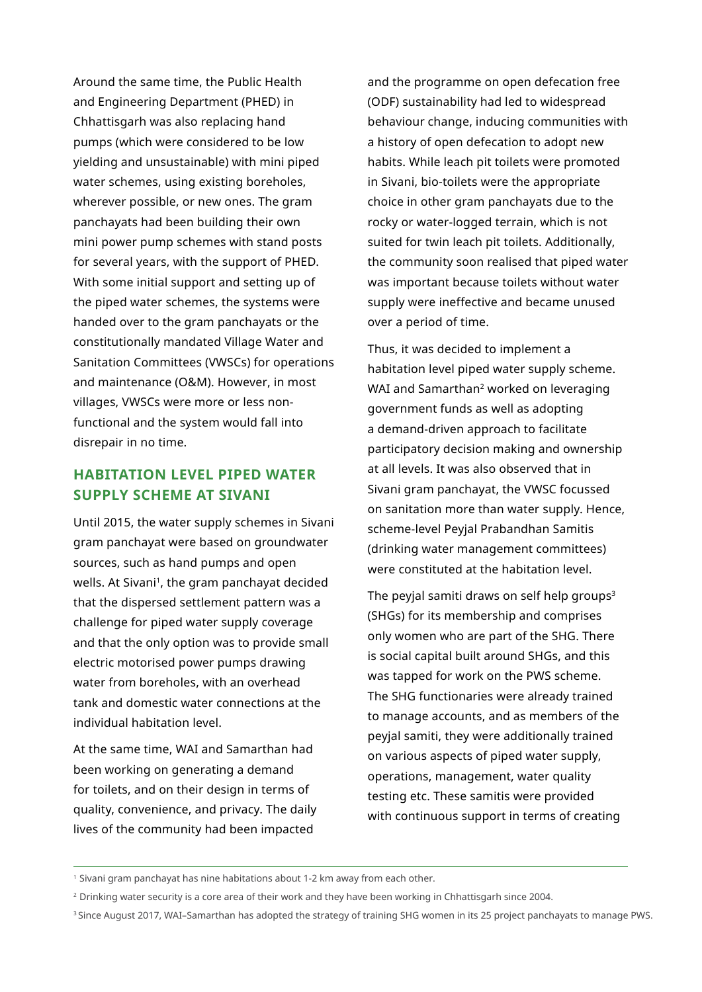Around the same time, the Public Health and Engineering Department (PHED) in Chhattisgarh was also replacing hand pumps (which were considered to be low yielding and unsustainable) with mini piped water schemes, using existing boreholes, wherever possible, or new ones. The gram panchayats had been building their own mini power pump schemes with stand posts for several years, with the support of PHED. With some initial support and setting up of the piped water schemes, the systems were handed over to the gram panchayats or the constitutionally mandated Village Water and Sanitation Committees (VWSCs) for operations and maintenance (O&M). However, in most villages, VWSCs were more or less nonfunctional and the system would fall into disrepair in no time.

### **HABITATION LEVEL PIPED WATER SUPPLY SCHEME AT SIVANI**

Until 2015, the water supply schemes in Sivani gram panchayat were based on groundwater sources, such as hand pumps and open wells. At Sivani<sup>1</sup>, the gram panchayat decided that the dispersed settlement pattern was a challenge for piped water supply coverage and that the only option was to provide small electric motorised power pumps drawing water from boreholes, with an overhead tank and domestic water connections at the individual habitation level.

At the same time, WAI and Samarthan had been working on generating a demand for toilets, and on their design in terms of quality, convenience, and privacy. The daily lives of the community had been impacted

and the programme on open defecation free (ODF) sustainability had led to widespread behaviour change, inducing communities with a history of open defecation to adopt new habits. While leach pit toilets were promoted in Sivani, bio-toilets were the appropriate choice in other gram panchayats due to the rocky or water-logged terrain, which is not suited for twin leach pit toilets. Additionally, the community soon realised that piped water was important because toilets without water supply were ineffective and became unused over a period of time.

Thus, it was decided to implement a habitation level piped water supply scheme. WAI and Samarthan<sup>2</sup> worked on leveraging government funds as well as adopting a demand-driven approach to facilitate participatory decision making and ownership at all levels. It was also observed that in Sivani gram panchayat, the VWSC focussed on sanitation more than water supply. Hence, scheme-level Peyjal Prabandhan Samitis (drinking water management committees) were constituted at the habitation level.

The peyjal samiti draws on self help groups $3$ (SHGs) for its membership and comprises only women who are part of the SHG. There is social capital built around SHGs, and this was tapped for work on the PWS scheme. The SHG functionaries were already trained to manage accounts, and as members of the peyjal samiti, they were additionally trained on various aspects of piped water supply, operations, management, water quality testing etc. These samitis were provided with continuous support in terms of creating

<sup>&</sup>lt;sup>1</sup> Sivani gram panchayat has nine habitations about 1-2 km away from each other.

<sup>2</sup> Drinking water security is a core area of their work and they have been working in Chhattisgarh since 2004.

<sup>&</sup>lt;sup>3</sup> Since August 2017, WAI–Samarthan has adopted the strategy of training SHG women in its 25 project panchayats to manage PWS.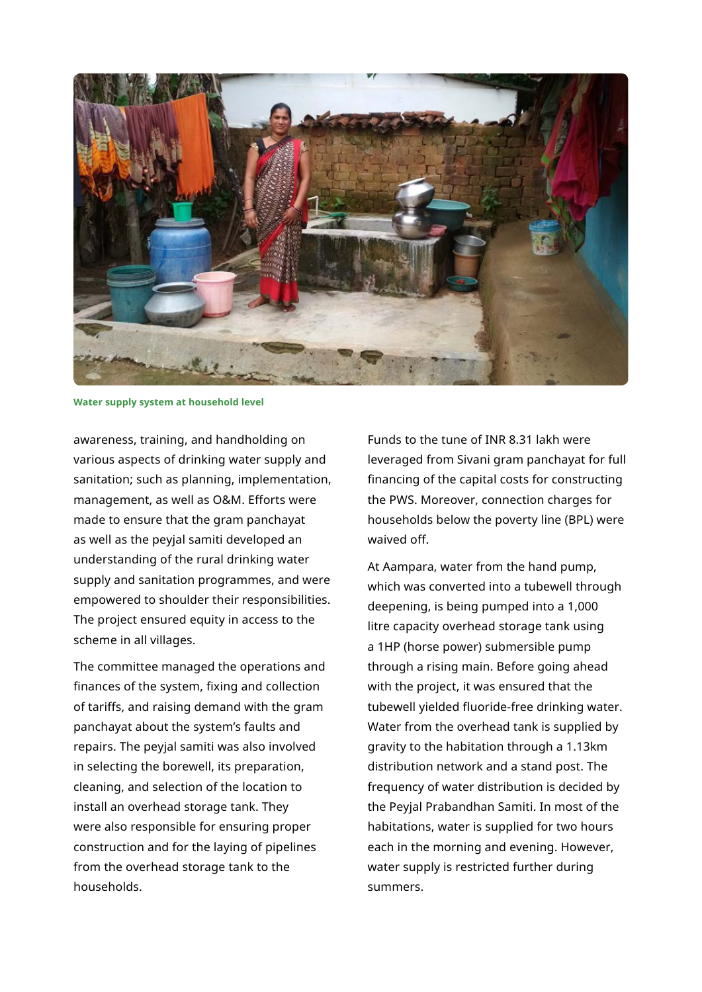

**Water supply system at household level**

awareness, training, and handholding on various aspects of drinking water supply and sanitation; such as planning, implementation, management, as well as O&M. Efforts were made to ensure that the gram panchayat as well as the peyjal samiti developed an understanding of the rural drinking water supply and sanitation programmes, and were empowered to shoulder their responsibilities. The project ensured equity in access to the scheme in all villages.

The committee managed the operations and finances of the system, fixing and collection of tariffs, and raising demand with the gram panchayat about the system's faults and repairs. The peyjal samiti was also involved in selecting the borewell, its preparation, cleaning, and selection of the location to install an overhead storage tank. They were also responsible for ensuring proper construction and for the laying of pipelines from the overhead storage tank to the households.

Funds to the tune of INR 8.31 lakh were leveraged from Sivani gram panchayat for full financing of the capital costs for constructing the PWS. Moreover, connection charges for households below the poverty line (BPL) were waived off.

At Aampara, water from the hand pump, which was converted into a tubewell through deepening, is being pumped into a 1,000 litre capacity overhead storage tank using a 1HP (horse power) submersible pump through a rising main. Before going ahead with the project, it was ensured that the tubewell yielded fluoride-free drinking water. Water from the overhead tank is supplied by gravity to the habitation through a 1.13km distribution network and a stand post. The frequency of water distribution is decided by the Peyjal Prabandhan Samiti. In most of the habitations, water is supplied for two hours each in the morning and evening. However, water supply is restricted further during summers.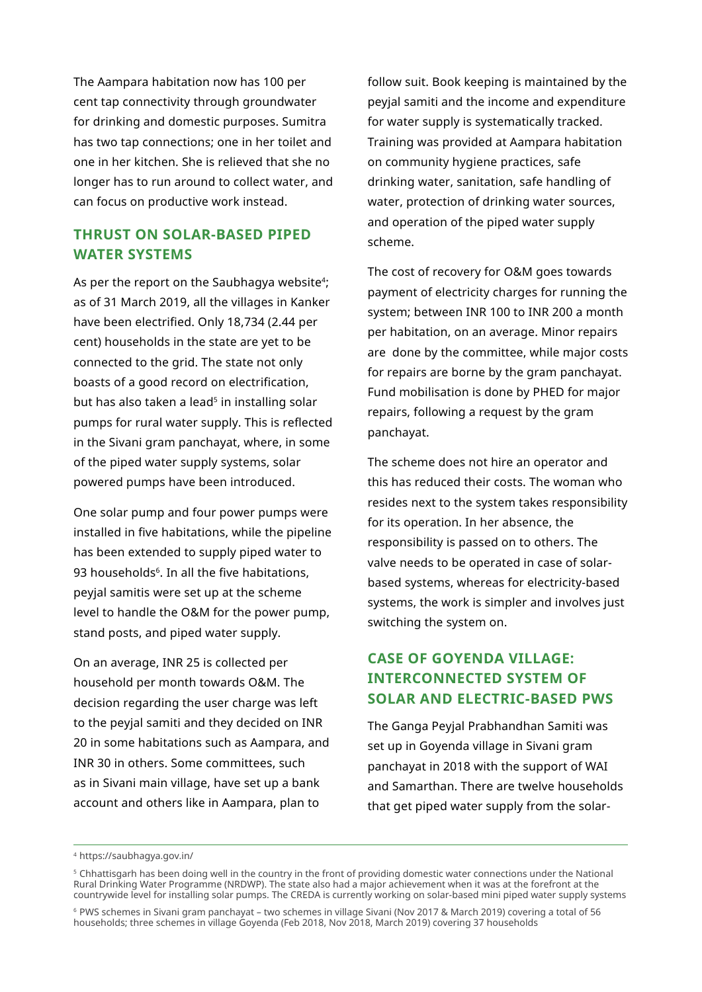The Aampara habitation now has 100 per cent tap connectivity through groundwater for drinking and domestic purposes. Sumitra has two tap connections; one in her toilet and one in her kitchen. She is relieved that she no longer has to run around to collect water, and can focus on productive work instead.

#### **THRUST ON SOLAR-BASED PIPED WATER SYSTEMS**

As per the report on the Saubhagya website<sup>4</sup>; as of 31 March 2019, all the villages in Kanker have been electrified. Only 18,734 (2.44 per cent) households in the state are yet to be connected to the grid. The state not only boasts of a good record on electrification, but has also taken a lead<sup>5</sup> in installing solar pumps for rural water supply. This is reflected in the Sivani gram panchayat, where, in some of the piped water supply systems, solar powered pumps have been introduced.

One solar pump and four power pumps were installed in five habitations, while the pipeline has been extended to supply piped water to 93 households<sup>6</sup>. In all the five habitations, peyjal samitis were set up at the scheme level to handle the O&M for the power pump, stand posts, and piped water supply.

On an average, INR 25 is collected per household per month towards O&M. The decision regarding the user charge was left to the peyjal samiti and they decided on INR 20 in some habitations such as Aampara, and INR 30 in others. Some committees, such as in Sivani main village, have set up a bank account and others like in Aampara, plan to

follow suit. Book keeping is maintained by the peyjal samiti and the income and expenditure for water supply is systematically tracked. Training was provided at Aampara habitation on community hygiene practices, safe drinking water, sanitation, safe handling of water, protection of drinking water sources, and operation of the piped water supply scheme.

The cost of recovery for O&M goes towards payment of electricity charges for running the system; between INR 100 to INR 200 a month per habitation, on an average. Minor repairs are done by the committee, while major costs for repairs are borne by the gram panchayat. Fund mobilisation is done by PHED for major repairs, following a request by the gram panchayat.

The scheme does not hire an operator and this has reduced their costs. The woman who resides next to the system takes responsibility for its operation. In her absence, the responsibility is passed on to others. The valve needs to be operated in case of solarbased systems, whereas for electricity-based systems, the work is simpler and involves just switching the system on.

## **CASE OF GOYENDA VILLAGE: INTERCONNECTED SYSTEM OF SOLAR AND ELECTRIC-BASED PWS**

The Ganga Peyjal Prabhandhan Samiti was set up in Goyenda village in Sivani gram panchayat in 2018 with the support of WAI and Samarthan. There are twelve households that get piped water supply from the solar-

<sup>4</sup> https://saubhagya.gov.in/

<sup>5</sup> Chhattisgarh has been doing well in the country in the front of providing domestic water connections under the National Rural Drinking Water Programme (NRDWP). The state also had a major achievement when it was at the forefront at the countrywide level for installing solar pumps. The CREDA is currently working on solar-based mini piped water supply systems

<sup>6</sup> PWS schemes in Sivani gram panchayat – two schemes in village Sivani (Nov 2017 & March 2019) covering a total of 56 households; three schemes in village Goyenda (Feb 2018, Nov 2018, March 2019) covering 37 households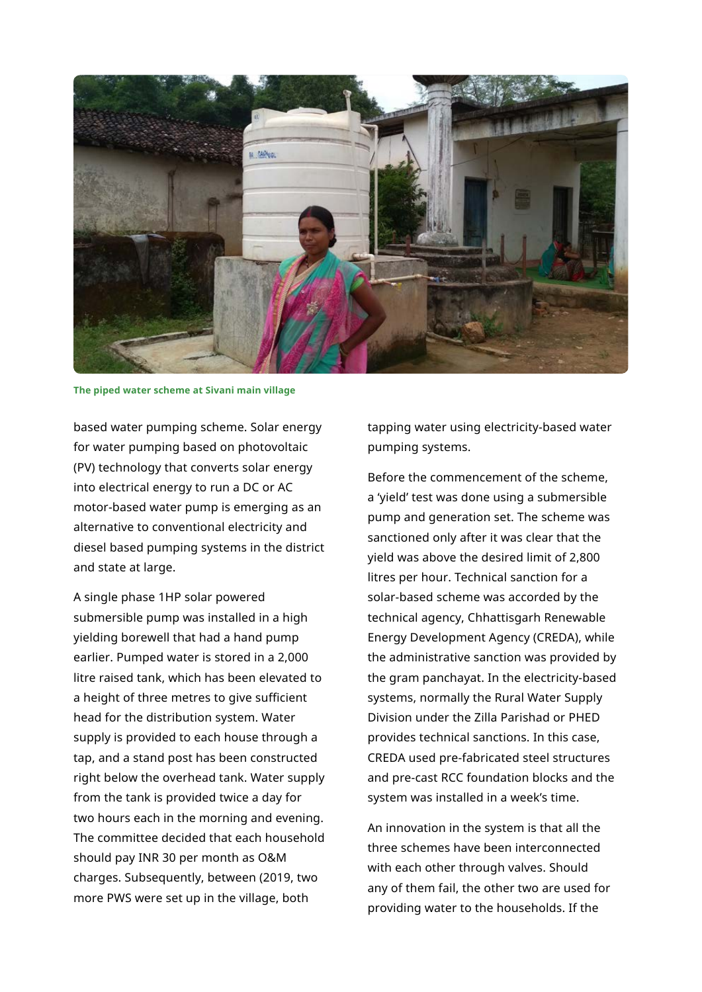

**The piped water scheme at Sivani main village**

based water pumping scheme. Solar energy for water pumping based on photovoltaic (PV) technology that converts solar energy into electrical energy to run a DC or AC motor-based water pump is emerging as an alternative to conventional electricity and diesel based pumping systems in the district and state at large.

A single phase 1HP solar powered submersible pump was installed in a high yielding borewell that had a hand pump earlier. Pumped water is stored in a 2,000 litre raised tank, which has been elevated to a height of three metres to give sufficient head for the distribution system. Water supply is provided to each house through a tap, and a stand post has been constructed right below the overhead tank. Water supply from the tank is provided twice a day for two hours each in the morning and evening. The committee decided that each household should pay INR 30 per month as O&M charges. Subsequently, between (2019, two more PWS were set up in the village, both

tapping water using electricity-based water pumping systems.

Before the commencement of the scheme, a 'yield' test was done using a submersible pump and generation set. The scheme was sanctioned only after it was clear that the yield was above the desired limit of 2,800 litres per hour. Technical sanction for a solar-based scheme was accorded by the technical agency, Chhattisgarh Renewable Energy Development Agency (CREDA), while the administrative sanction was provided by the gram panchayat. In the electricity-based systems, normally the Rural Water Supply Division under the Zilla Parishad or PHED provides technical sanctions. In this case, CREDA used pre-fabricated steel structures and pre-cast RCC foundation blocks and the system was installed in a week's time.

An innovation in the system is that all the three schemes have been interconnected with each other through valves. Should any of them fail, the other two are used for providing water to the households. If the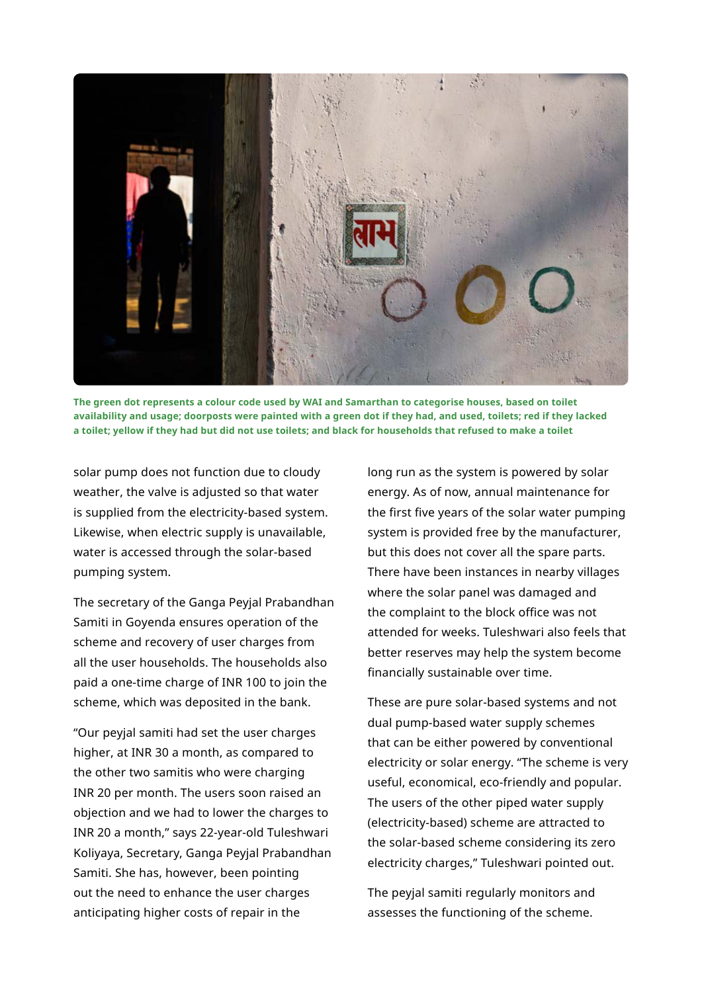

**The green dot represents a colour code used by WAI and Samarthan to categorise houses, based on toilet availability and usage; doorposts were painted with a green dot if they had, and used, toilets; red if they lacked a toilet; yellow if they had but did not use toilets; and black for households that refused to make a toilet**

solar pump does not function due to cloudy weather, the valve is adjusted so that water is supplied from the electricity-based system. Likewise, when electric supply is unavailable, water is accessed through the solar-based pumping system.

The secretary of the Ganga Peyjal Prabandhan Samiti in Goyenda ensures operation of the scheme and recovery of user charges from all the user households. The households also paid a one-time charge of INR 100 to join the scheme, which was deposited in the bank.

"Our peyjal samiti had set the user charges higher, at INR 30 a month, as compared to the other two samitis who were charging INR 20 per month. The users soon raised an objection and we had to lower the charges to INR 20 a month," says 22-year-old Tuleshwari Koliyaya, Secretary, Ganga Peyjal Prabandhan Samiti. She has, however, been pointing out the need to enhance the user charges anticipating higher costs of repair in the

long run as the system is powered by solar energy. As of now, annual maintenance for the first five years of the solar water pumping system is provided free by the manufacturer, but this does not cover all the spare parts. There have been instances in nearby villages where the solar panel was damaged and the complaint to the block office was not attended for weeks. Tuleshwari also feels that better reserves may help the system become financially sustainable over time.

These are pure solar-based systems and not dual pump-based water supply schemes that can be either powered by conventional electricity or solar energy. "The scheme is very useful, economical, eco-friendly and popular. The users of the other piped water supply (electricity-based) scheme are attracted to the solar-based scheme considering its zero electricity charges," Tuleshwari pointed out.

The peyjal samiti regularly monitors and assesses the functioning of the scheme.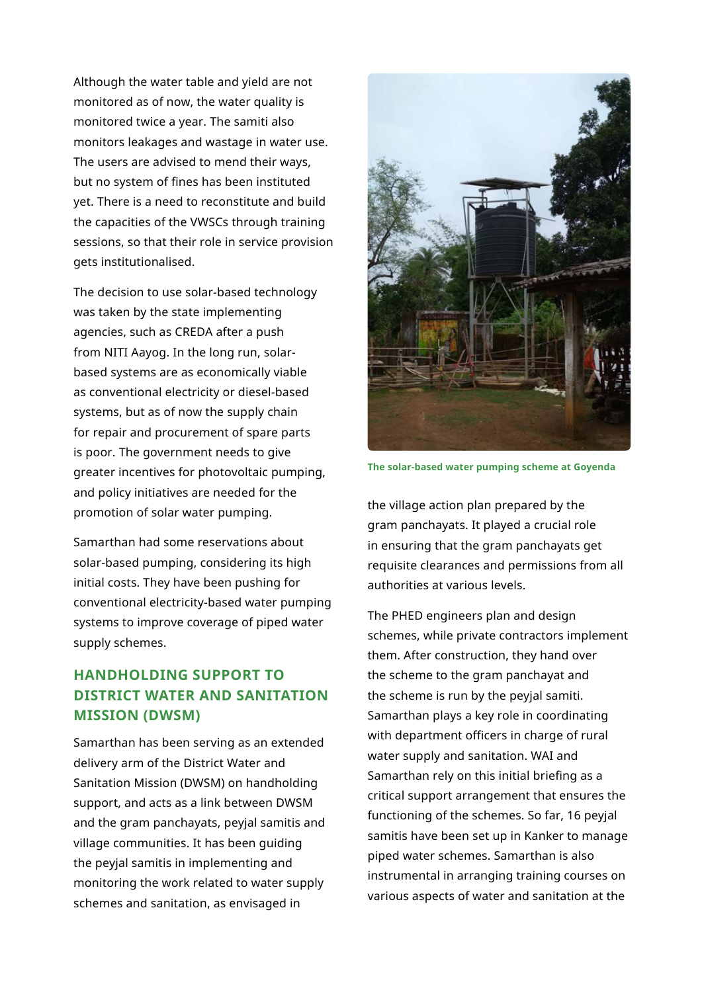Although the water table and yield are not monitored as of now, the water quality is monitored twice a year. The samiti also monitors leakages and wastage in water use. The users are advised to mend their ways, but no system of fines has been instituted yet. There is a need to reconstitute and build the capacities of the VWSCs through training sessions, so that their role in service provision gets institutionalised.

The decision to use solar-based technology was taken by the state implementing agencies, such as CREDA after a push from NITI Aayog. In the long run, solarbased systems are as economically viable as conventional electricity or diesel-based systems, but as of now the supply chain for repair and procurement of spare parts is poor. The government needs to give greater incentives for photovoltaic pumping, and policy initiatives are needed for the promotion of solar water pumping.

Samarthan had some reservations about solar-based pumping, considering its high initial costs. They have been pushing for conventional electricity-based water pumping systems to improve coverage of piped water supply schemes.

# **HANDHOLDING SUPPORT TO DISTRICT WATER AND SANITATION MISSION (DWSM)**

Samarthan has been serving as an extended delivery arm of the District Water and Sanitation Mission (DWSM) on handholding support, and acts as a link between DWSM and the gram panchayats, peyjal samitis and village communities. It has been guiding the peyjal samitis in implementing and monitoring the work related to water supply schemes and sanitation, as envisaged in



**The solar-based water pumping scheme at Goyenda**

the village action plan prepared by the gram panchayats. It played a crucial role in ensuring that the gram panchayats get requisite clearances and permissions from all authorities at various levels.

The PHED engineers plan and design schemes, while private contractors implement them. After construction, they hand over the scheme to the gram panchayat and the scheme is run by the peyjal samiti. Samarthan plays a key role in coordinating with department officers in charge of rural water supply and sanitation. WAI and Samarthan rely on this initial briefing as a critical support arrangement that ensures the functioning of the schemes. So far, 16 peyjal samitis have been set up in Kanker to manage piped water schemes. Samarthan is also instrumental in arranging training courses on various aspects of water and sanitation at the